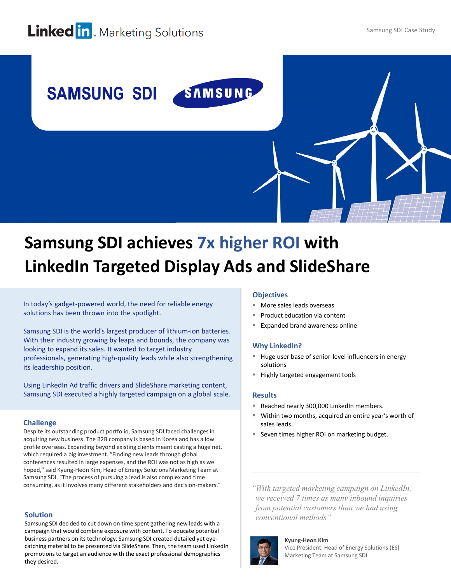# **Linked in**. Marketing Solutions



# **Samsung SDI achieves 7x higher ROI with LinkedIn Targeted Display Ads and SlideShare**

In today's gadget-powered world, the need for reliable energy solutions has been thrown into the spotlight.

Samsung SDI is the world's largest producer of lithium-ion batteries. With their industry growing by leaps and bounds, the company was looking to expand its sales. It wanted to target industry professionals, generating high-quality leads while also strengthening its leadership position.

Using LinkedIn Ad traffic drivers and SlideShare marketing content, Samsung SDI executed a highly targeted campaign on a global scale.

# **Challenge**

Despite its outstanding product portfolio, Samsung SDI faced challenges in acquiring new business. The B2B company is based in Korea and has a low profile overseas. Expanding beyond existing clients meant casting a huge net, which required a big investment. "Finding new leads through global conferences resulted in large expenses, and the ROI was not as high as we hoped," said Kyung-Heon Kim, Head of Energy Solutions Marketing Team at Samsung SDI. "The process of pursuing a lead is also complex and time consuming, as it involves many different stakeholders and decision-makers." *"With targeted marketing campaign on LinkedIn,* 

# **Solution**

Samsung SDI decided to cut down on time spent gathering new leads with a campaign that would combine exposure with content. To educate potential business partners on its technology, Samsung SDI created detailed yet eyecatching material to be presented via SlideShare. Then, the team used LinkedIn promotions to target an audience with the exact professional demographics they desired.

### **Objectives**

- More sales leads overseas
- Product education via content
- Expanded brand awareness online

### **Why LinkedIn?**

- Huge user base of senior-level influencers in energy solutions
- Highly targeted engagement tools

#### **Results**

- Reached nearly 300,000 LinkedIn members.
- Within two months, acquired an entire year's worth of sales leads.
- Seven times higher ROI on marketing budget.

*we received 7 times as many inbound inquiries from potential customers than we had using conventional methods"*



**Kyung-Heon Kim** Vice President, Head of Energy Solutions (ES) Marketing Team at Samsung SDI